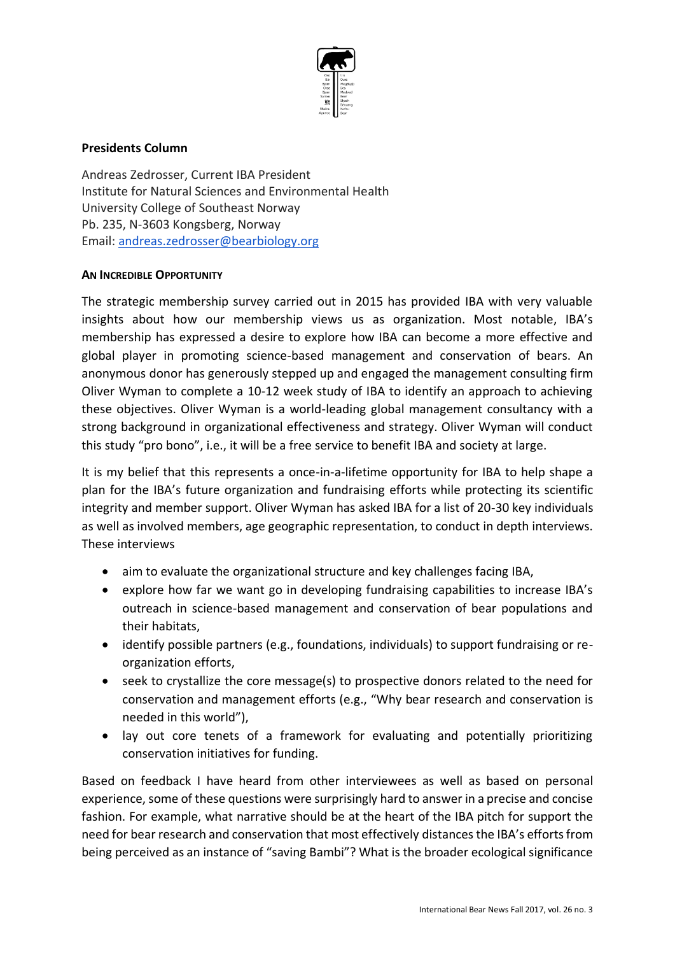

## **Presidents Column**

Andreas Zedrosser, Current IBA President Institute for Natural Sciences and Environmental Health University College of Southeast Norway Pb. 235, N-3603 Kongsberg, Norway Email: [andreas.zedrosser@bearbiology.org](mailto:andreas.zedrosser@bearbiology.org)

## **AN INCREDIBLE OPPORTUNITY**

The strategic membership survey carried out in 2015 has provided IBA with very valuable insights about how our membership views us as organization. Most notable, IBA's membership has expressed a desire to explore how IBA can become a more effective and global player in promoting science-based management and conservation of bears. An anonymous donor has generously stepped up and engaged the management consulting firm Oliver Wyman to complete a 10-12 week study of IBA to identify an approach to achieving these objectives. Oliver Wyman is a world-leading global management consultancy with a strong background in organizational effectiveness and strategy. Oliver Wyman will conduct this study "pro bono", i.e., it will be a free service to benefit IBA and society at large.

It is my belief that this represents a once-in-a-lifetime opportunity for IBA to help shape a plan for the IBA's future organization and fundraising efforts while protecting its scientific integrity and member support. Oliver Wyman has asked IBA for a list of 20-30 key individuals as well as involved members, age geographic representation, to conduct in depth interviews. These interviews

- aim to evaluate the organizational structure and key challenges facing IBA,
- explore how far we want go in developing fundraising capabilities to increase IBA's outreach in science-based management and conservation of bear populations and their habitats,
- identify possible partners (e.g., foundations, individuals) to support fundraising or reorganization efforts,
- seek to crystallize the core message(s) to prospective donors related to the need for conservation and management efforts (e.g., "Why bear research and conservation is needed in this world"),
- lay out core tenets of a framework for evaluating and potentially prioritizing conservation initiatives for funding.

Based on feedback I have heard from other interviewees as well as based on personal experience, some of these questions were surprisingly hard to answer in a precise and concise fashion. For example, what narrative should be at the heart of the IBA pitch for support the need for bear research and conservation that most effectively distances the IBA's efforts from being perceived as an instance of "saving Bambi"? What is the broader ecological significance